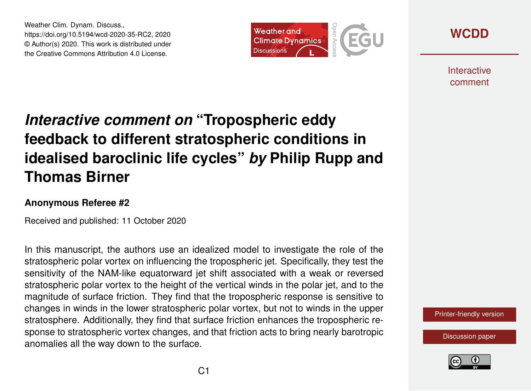Weather Clim. Dynam. Discuss., https://doi.org/10.5194/wcd-2020-35-RC2, 2020 © Author(s) 2020. This work is distributed under the Creative Commons Attribution 4.0 License.



**[WCDD](https://wcd.copernicus.org/preprints/)**

**Interactive** comment

## *Interactive comment on* **"Tropospheric eddy feedback to different stratospheric conditions in idealised baroclinic life cycles"** *by* **Philip Rupp and Thomas Birner**

## **Anonymous Referee #2**

Received and published: 11 October 2020

In this manuscript, the authors use an idealized model to investigate the role of the stratospheric polar vortex on influencing the tropospheric jet. Specifically, they test the sensitivity of the NAM-like equatorward jet shift associated with a weak or reversed stratospheric polar vortex to the height of the vertical winds in the polar jet, and to the magnitude of surface friction. They find that the tropospheric response is sensitive to changes in winds in the lower stratospheric polar vortex, but not to winds in the upper stratosphere. Additionally, they find that surface friction enhances the tropospheric response to stratospheric vortex changes, and that friction acts to bring nearly barotropic anomalies all the way down to the surface.

[Printer-friendly version](https://wcd.copernicus.org/preprints/wcd-2020-35/wcd-2020-35-RC2-print.pdf)

[Discussion paper](https://wcd.copernicus.org/preprints/wcd-2020-35)